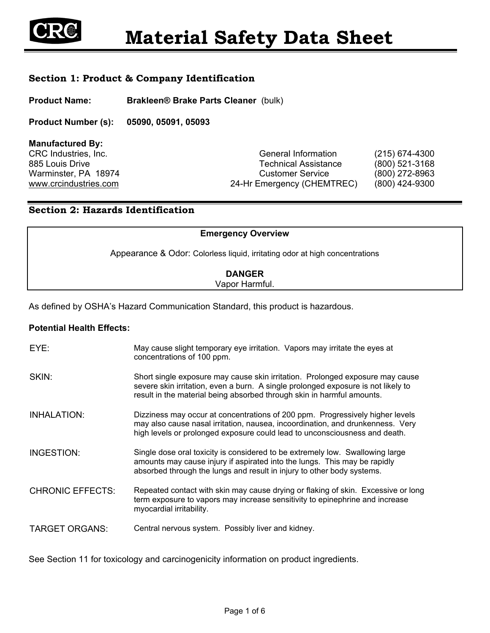

## **Section 1: Product & Company Identification**

**Product Name: Brakleen® Brake Parts Cleaner** (bulk)

**Product Number (s): 05090, 05091, 05093**

**Manufactured By:** 

CRC Industries, Inc. CRC Industries, Inc. CRC Industries, Inc. 885 Louis Drive **Technical Assistance** (800) 521-3168 Warminster, PA 18974 Customer Service (800) 272-8963 www.crcindustries.com 24-Hr Emergency (CHEMTREC) (800) 424-9300

## **Section 2: Hazards Identification**

| <b>Emergency Overview</b>                                                   |  |
|-----------------------------------------------------------------------------|--|
| Appearance & Odor: Colorless liquid, irritating odor at high concentrations |  |
| <b>DANGER</b>                                                               |  |
| Vapor Harmful.                                                              |  |

As defined by OSHA's Hazard Communication Standard, this product is hazardous.

### **Potential Health Effects:**

| EYE:                    | May cause slight temporary eye irritation. Vapors may irritate the eyes at<br>concentrations of 100 ppm.                                                                                                                                      |
|-------------------------|-----------------------------------------------------------------------------------------------------------------------------------------------------------------------------------------------------------------------------------------------|
| SKIN:                   | Short single exposure may cause skin irritation. Prolonged exposure may cause<br>severe skin irritation, even a burn. A single prolonged exposure is not likely to<br>result in the material being absorbed through skin in harmful amounts.  |
| INHALATION:             | Dizziness may occur at concentrations of 200 ppm. Progressively higher levels<br>may also cause nasal irritation, nausea, incoordination, and drunkenness. Very<br>high levels or prolonged exposure could lead to unconsciousness and death. |
| INGESTION:              | Single dose oral toxicity is considered to be extremely low. Swallowing large<br>amounts may cause injury if aspirated into the lungs. This may be rapidly<br>absorbed through the lungs and result in injury to other body systems.          |
| <b>CHRONIC EFFECTS:</b> | Repeated contact with skin may cause drying or flaking of skin. Excessive or long<br>term exposure to vapors may increase sensitivity to epinephrine and increase<br>myocardial irritability.                                                 |
| <b>TARGET ORGANS:</b>   | Central nervous system. Possibly liver and kidney.                                                                                                                                                                                            |

See Section 11 for toxicology and carcinogenicity information on product ingredients.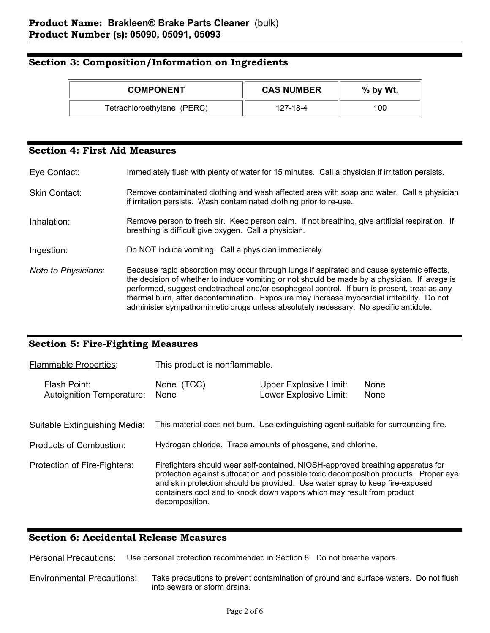### **Section 3: Composition/Information on Ingredients**

| <b>COMPONENT</b>           | <b>CAS NUMBER</b> | % by Wt. |
|----------------------------|-------------------|----------|
| Tetrachloroethylene (PERC) | 127-18-4          | 100      |

### **Section 4: First Aid Measures**

Eye Contact: Immediately flush with plenty of water for 15 minutes. Call a physician if irritation persists.

- Skin Contact: Remove contaminated clothing and wash affected area with soap and water. Call a physician if irritation persists. Wash contaminated clothing prior to re-use.
- Inhalation: Remove person to fresh air. Keep person calm. If not breathing, give artificial respiration. If breathing is difficult give oxygen. Call a physician.

Ingestion: Do NOT induce vomiting. Call a physician immediately.

*Note to Physicians*: Because rapid absorption may occur through lungs if aspirated and cause systemic effects, the decision of whether to induce vomiting or not should be made by a physician. If lavage is performed, suggest endotracheal and/or esophageal control. If burn is present, treat as any thermal burn, after decontamination. Exposure may increase myocardial irritability. Do not administer sympathomimetic drugs unless absolutely necessary. No specific antidote.

### **Section 5: Fire-Fighting Measures**

| <b>Flammable Properties:</b>              | This product is nonflammable.                                                                                                                                                                                                                                                                                                                       |                                                                                     |              |  |
|-------------------------------------------|-----------------------------------------------------------------------------------------------------------------------------------------------------------------------------------------------------------------------------------------------------------------------------------------------------------------------------------------------------|-------------------------------------------------------------------------------------|--------------|--|
| Flash Point:<br>Autoignition Temperature: | None (TCC)<br>None                                                                                                                                                                                                                                                                                                                                  | <b>Upper Explosive Limit:</b><br>Lower Explosive Limit:                             | None<br>None |  |
| Suitable Extinguishing Media:             |                                                                                                                                                                                                                                                                                                                                                     | This material does not burn. Use extinguishing agent suitable for surrounding fire. |              |  |
| Products of Combustion:                   | Hydrogen chloride. Trace amounts of phosgene, and chlorine.                                                                                                                                                                                                                                                                                         |                                                                                     |              |  |
| Protection of Fire-Fighters:              | Firefighters should wear self-contained, NIOSH-approved breathing apparatus for<br>protection against suffocation and possible toxic decomposition products. Proper eye<br>and skin protection should be provided. Use water spray to keep fire-exposed<br>containers cool and to knock down vapors which may result from product<br>decomposition. |                                                                                     |              |  |

### **Section 6: Accidental Release Measures**

Personal Precautions: Use personal protection recommended in Section 8. Do not breathe vapors.

Environmental Precautions: Take precautions to prevent contamination of ground and surface waters. Do not flush into sewers or storm drains.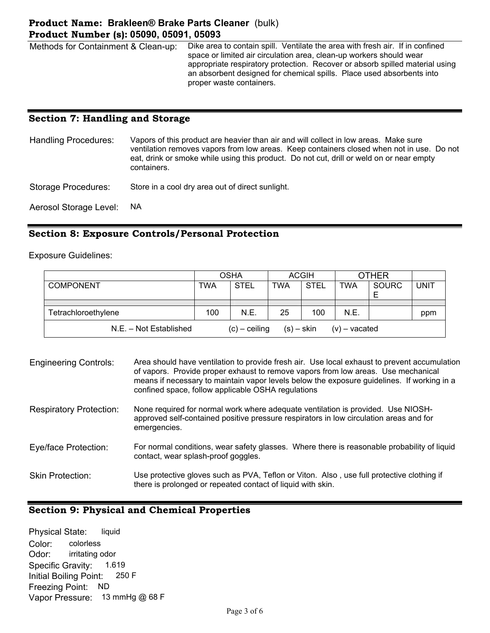## **Product Name: Brakleen® Brake Parts Cleaner** (bulk) **Product Number (s): 05090, 05091, 05093**

Methods for Containment & Clean-up: Dike area to contain spill. Ventilate the area with fresh air. If in confined space or limited air circulation area, clean-up workers should wear appropriate respiratory protection. Recover or absorb spilled material using an absorbent designed for chemical spills. Place used absorbents into proper waste containers.

## **Section 7: Handling and Storage**

| <b>Handling Procedures:</b> | Vapors of this product are heavier than air and will collect in low areas. Make sure<br>ventilation removes vapors from low areas. Keep containers closed when not in use. Do not<br>eat, drink or smoke while using this product. Do not cut, drill or weld on or near empty<br>containers. |
|-----------------------------|----------------------------------------------------------------------------------------------------------------------------------------------------------------------------------------------------------------------------------------------------------------------------------------------|
| Storage Procedures:         | Store in a cool dry area out of direct sunlight.                                                                                                                                                                                                                                             |

Aerosol Storage Level: NA

## **Section 8: Exposure Controls/Personal Protection**

Exposure Guidelines:

|                        |     | <b>OSHA</b>     |            | <b>ACGIH</b> |                 | <b>OTHER</b> |             |
|------------------------|-----|-----------------|------------|--------------|-----------------|--------------|-------------|
| <b>COMPONENT</b>       | TWA | <b>STEL</b>     | TWA        | <b>STEL</b>  | <b>TWA</b>      | <b>SOURC</b> | <b>UNIT</b> |
|                        |     |                 |            |              |                 |              |             |
|                        |     |                 |            |              |                 |              |             |
| Tetrachloroethylene    | 100 | N.E.            | 25         | 100          | N.E.            |              | ppm         |
| N.E. - Not Established |     | $(c)$ – ceiling | (s) – skin |              | $(v)$ – vacated |              |             |

| <b>Engineering Controls:</b>   | Area should have ventilation to provide fresh air. Use local exhaust to prevent accumulation<br>of vapors. Provide proper exhaust to remove vapors from low areas. Use mechanical<br>means if necessary to maintain vapor levels below the exposure guidelines. If working in a<br>confined space, follow applicable OSHA regulations |
|--------------------------------|---------------------------------------------------------------------------------------------------------------------------------------------------------------------------------------------------------------------------------------------------------------------------------------------------------------------------------------|
| <b>Respiratory Protection:</b> | None required for normal work where adequate ventilation is provided. Use NIOSH-<br>approved self-contained positive pressure respirators in low circulation areas and for<br>emergencies.                                                                                                                                            |
| Eye/face Protection:           | For normal conditions, wear safety glasses. Where there is reasonable probability of liquid<br>contact, wear splash-proof goggles.                                                                                                                                                                                                    |
| <b>Skin Protection:</b>        | Use protective gloves such as PVA, Teflon or Viton. Also, use full protective clothing if<br>there is prolonged or repeated contact of liquid with skin.                                                                                                                                                                              |

### **Section 9: Physical and Chemical Properties**

Physical State: liquid Color: colorless Odor: irritating odor Specific Gravity: 1.619 Initial Boiling Point: 250 F Freezing Point: ND Vapor Pressure: 13 mmHg @ 68 F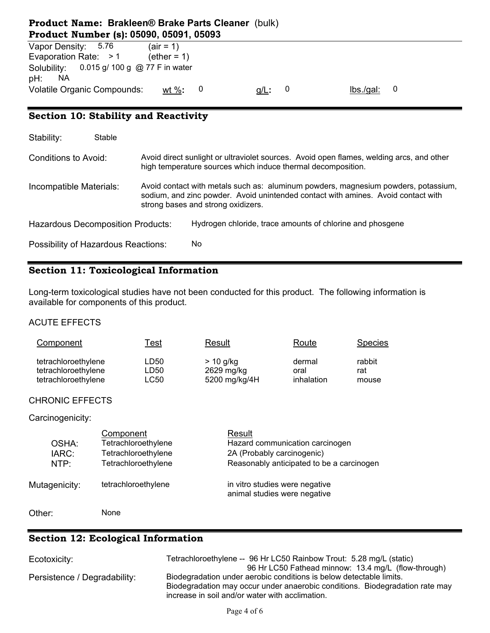## **Product Name: Brakleen® Brake Parts Cleaner** (bulk) **Product Number (s): 05090, 05091, 05093**

| Vapor Density: 5.76                                     | $air = 1$           |   |         |          |  |
|---------------------------------------------------------|---------------------|---|---------|----------|--|
| Evaporation Rate: $>1$                                  | $e^{t}$ (ether = 1) |   |         |          |  |
| Solubility: 0.015 g/ 100 g @ 77 F in water<br>pH:<br>ΝA |                     |   |         |          |  |
| <b>Volatile Organic Compounds:</b>                      | wt $\%$ :           | 0 | $g/L$ : | lbs/gal: |  |

## **Section 10: Stability and Reactivity**

| Stability:                               | Stable |                                                                                                                                                                                                               |
|------------------------------------------|--------|---------------------------------------------------------------------------------------------------------------------------------------------------------------------------------------------------------------|
| Conditions to Avoid:                     |        | Avoid direct sunlight or ultraviolet sources. Avoid open flames, welding arcs, and other<br>high temperature sources which induce thermal decomposition.                                                      |
| Incompatible Materials:                  |        | Avoid contact with metals such as: aluminum powders, magnesium powders, potassium,<br>sodium, and zinc powder. Avoid unintended contact with amines. Avoid contact with<br>strong bases and strong oxidizers. |
| <b>Hazardous Decomposition Products:</b> |        | Hydrogen chloride, trace amounts of chlorine and phosgene                                                                                                                                                     |
| Possibility of Hazardous Reactions:      |        | No                                                                                                                                                                                                            |

## **Section 11: Toxicological Information**

Long-term toxicological studies have not been conducted for this product. The following information is available for components of this product.

### ACUTE EFFECTS

| Component           | <u> Fest</u> | Result        | Route      | <b>Species</b> |
|---------------------|--------------|---------------|------------|----------------|
| tetrachloroethylene | LD50         | $> 10$ g/kg   | dermal     | rabbit         |
| tetrachloroethylene | LD50         | 2629 mg/kg    | oral       | rat            |
| tetrachloroethylene | LC50         | 5200 mg/kg/4H | inhalation | mouse          |

### CHRONIC EFFECTS

### Carcinogenicity:

| OSHA:<br>IARC:<br>NTP: | Component<br>Tetrachloroethylene<br>Tetrachloroethylene<br>Tetrachloroethylene | Result<br>Hazard communication carcinogen<br>2A (Probably carcinogenic)<br>Reasonably anticipated to be a carcinogen |
|------------------------|--------------------------------------------------------------------------------|----------------------------------------------------------------------------------------------------------------------|
| Mutagenicity:          | tetrachloroethylene                                                            | in vitro studies were negative<br>animal studies were negative                                                       |
| Other:                 | None                                                                           |                                                                                                                      |

# **Section 12: Ecological Information**

| Ecotoxicity:                 | Tetrachloroethylene -- 96 Hr LC50 Rainbow Trout: 5.28 mg/L (static)          |
|------------------------------|------------------------------------------------------------------------------|
|                              | 96 Hr LC50 Fathead minnow: 13.4 mg/L (flow-through)                          |
| Persistence / Degradability: | Biodegradation under aerobic conditions is below detectable limits.          |
|                              | Biodegradation may occur under anaerobic conditions. Biodegradation rate may |
|                              | increase in soil and/or water with acclimation.                              |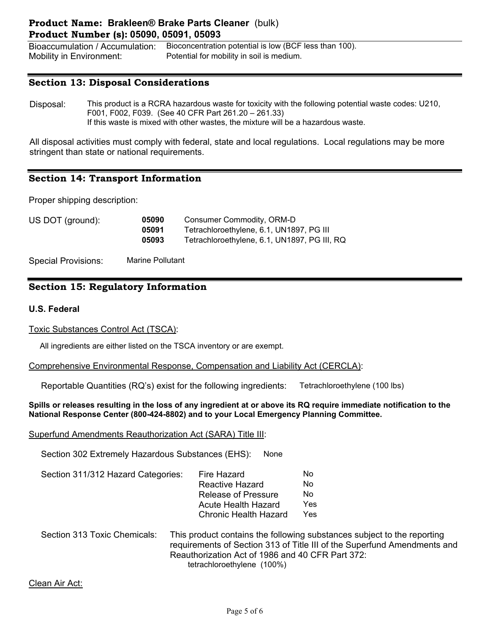## **Product Name: Brakleen® Brake Parts Cleaner** (bulk) **Product Number (s): 05090, 05091, 05093**

Bioaccumulation / Accumulation: Bioconcentration potential is low (BCF less than 100). Mobility in Environment: Potential for mobility in soil is medium.

### **Section 13: Disposal Considerations**

Disposal: This product is a RCRA hazardous waste for toxicity with the following potential waste codes: U210, F001, F002, F039. (See 40 CFR Part 261.20 – 261.33) If this waste is mixed with other wastes, the mixture will be a hazardous waste.

All disposal activities must comply with federal, state and local regulations. Local regulations may be more stringent than state or national requirements.

## **Section 14: Transport Information**

Proper shipping description:

| US DOT (ground): | 05090 | Consumer Commodity, ORM-D                    |  |
|------------------|-------|----------------------------------------------|--|
|                  | 05091 | Tetrachloroethylene, 6.1, UN1897, PG III     |  |
|                  | 05093 | Tetrachloroethylene, 6.1, UN1897, PG III, RQ |  |

Special Provisions: Marine Pollutant

## **Section 15: Regulatory Information**

### **U.S. Federal**

Toxic Substances Control Act (TSCA):

All ingredients are either listed on the TSCA inventory or are exempt.

### Comprehensive Environmental Response, Compensation and Liability Act (CERCLA):

Reportable Quantities (RQ's) exist for the following ingredients: Tetrachloroethylene (100 lbs)

#### **Spills or releases resulting in the loss of any ingredient at or above its RQ require immediate notification to the National Response Center (800-424-8802) and to your Local Emergency Planning Committee.**

Superfund Amendments Reauthorization Act (SARA) Title III:

Section 302 Extremely Hazardous Substances (EHS): None

| Section 311/312 Hazard Categories: | Fire Hazard                  | Nο  |
|------------------------------------|------------------------------|-----|
|                                    | Reactive Hazard              | Nο  |
|                                    | <b>Release of Pressure</b>   | Nο  |
|                                    | Acute Health Hazard          | Yes |
|                                    | <b>Chronic Health Hazard</b> | Yes |
|                                    |                              |     |

Section 313 Toxic Chemicals: This product contains the following substances subject to the reporting requirements of Section 313 of Title III of the Superfund Amendments and Reauthorization Act of 1986 and 40 CFR Part 372: tetrachloroethylene (100%)

Clean Air Act: